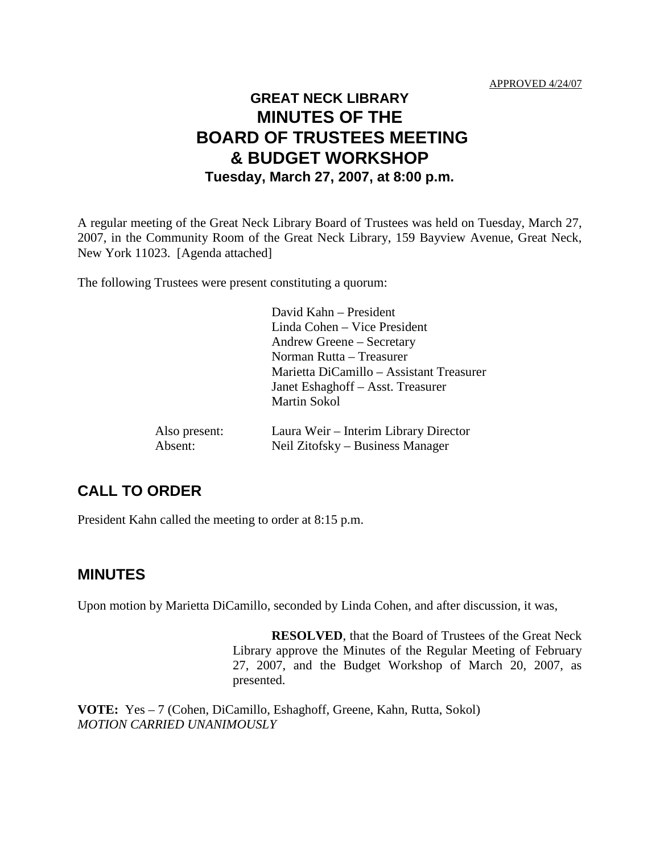# **GREAT NECK LIBRARY MINUTES OF THE BOARD OF TRUSTEES MEETING & BUDGET WORKSHOP Tuesday, March 27, 2007, at 8:00 p.m.**

A regular meeting of the Great Neck Library Board of Trustees was held on Tuesday, March 27, 2007, in the Community Room of the Great Neck Library, 159 Bayview Avenue, Great Neck, New York 11023. [Agenda attached]

The following Trustees were present constituting a quorum:

|               | David Kahn – President                   |
|---------------|------------------------------------------|
|               | Linda Cohen – Vice President             |
|               | Andrew Greene – Secretary                |
|               | Norman Rutta - Treasurer                 |
|               | Marietta DiCamillo – Assistant Treasurer |
|               | Janet Eshaghoff – Asst. Treasurer        |
|               | <b>Martin Sokol</b>                      |
| Also present: | Laura Weir – Interim Library Director    |
| Absent:       | Neil Zitofsky – Business Manager         |

### **CALL TO ORDER**

President Kahn called the meeting to order at 8:15 p.m.

#### **MINUTES**

Upon motion by Marietta DiCamillo, seconded by Linda Cohen, and after discussion, it was,

**RESOLVED**, that the Board of Trustees of the Great Neck Library approve the Minutes of the Regular Meeting of February 27, 2007, and the Budget Workshop of March 20, 2007, as presented.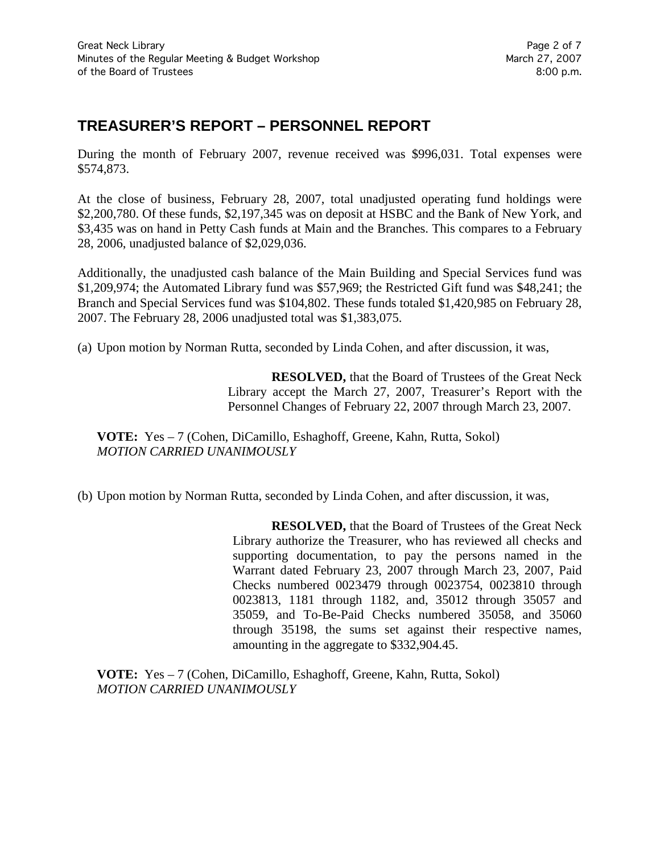# **TREASURER'S REPORT – PERSONNEL REPORT**

During the month of February 2007, revenue received was \$996,031. Total expenses were \$574,873.

At the close of business, February 28, 2007, total unadjusted operating fund holdings were \$2,200,780. Of these funds, \$2,197,345 was on deposit at HSBC and the Bank of New York, and \$3,435 was on hand in Petty Cash funds at Main and the Branches. This compares to a February 28, 2006, unadjusted balance of \$2,029,036.

Additionally, the unadjusted cash balance of the Main Building and Special Services fund was \$1,209,974; the Automated Library fund was \$57,969; the Restricted Gift fund was \$48,241; the Branch and Special Services fund was \$104,802. These funds totaled \$1,420,985 on February 28, 2007. The February 28, 2006 unadjusted total was \$1,383,075.

(a) Upon motion by Norman Rutta, seconded by Linda Cohen, and after discussion, it was,

**RESOLVED,** that the Board of Trustees of the Great Neck Library accept the March 27, 2007, Treasurer's Report with the Personnel Changes of February 22, 2007 through March 23, 2007.

**VOTE:** Yes – 7 (Cohen, DiCamillo, Eshaghoff, Greene, Kahn, Rutta, Sokol) *MOTION CARRIED UNANIMOUSLY*

(b) Upon motion by Norman Rutta, seconded by Linda Cohen, and after discussion, it was,

**RESOLVED,** that the Board of Trustees of the Great Neck Library authorize the Treasurer, who has reviewed all checks and supporting documentation, to pay the persons named in the Warrant dated February 23, 2007 through March 23, 2007, Paid Checks numbered 0023479 through 0023754, 0023810 through 0023813, 1181 through 1182, and, 35012 through 35057 and 35059, and To-Be-Paid Checks numbered 35058, and 35060 through 35198, the sums set against their respective names, amounting in the aggregate to \$332,904.45.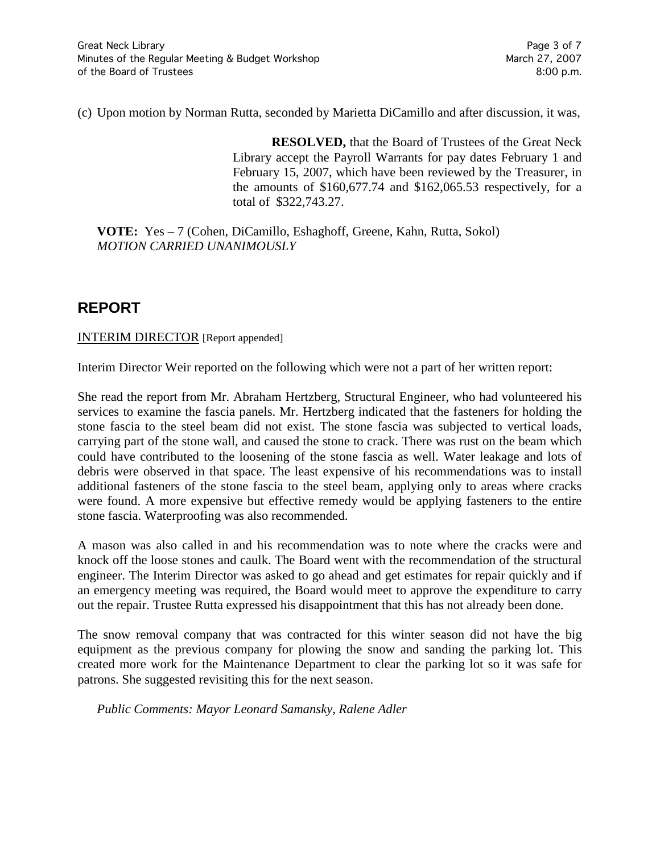(c) Upon motion by Norman Rutta, seconded by Marietta DiCamillo and after discussion, it was,

**RESOLVED,** that the Board of Trustees of the Great Neck Library accept the Payroll Warrants for pay dates February 1 and February 15, 2007, which have been reviewed by the Treasurer, in the amounts of \$160,677.74 and \$162,065.53 respectively, for a total of \$322,743.27.

**VOTE:** Yes – 7 (Cohen, DiCamillo, Eshaghoff, Greene, Kahn, Rutta, Sokol) *MOTION CARRIED UNANIMOUSLY*

# **REPORT**

INTERIM DIRECTOR [Report appended]

Interim Director Weir reported on the following which were not a part of her written report:

She read the report from Mr. Abraham Hertzberg, Structural Engineer, who had volunteered his services to examine the fascia panels. Mr. Hertzberg indicated that the fasteners for holding the stone fascia to the steel beam did not exist. The stone fascia was subjected to vertical loads, carrying part of the stone wall, and caused the stone to crack. There was rust on the beam which could have contributed to the loosening of the stone fascia as well. Water leakage and lots of debris were observed in that space. The least expensive of his recommendations was to install additional fasteners of the stone fascia to the steel beam, applying only to areas where cracks were found. A more expensive but effective remedy would be applying fasteners to the entire stone fascia. Waterproofing was also recommended.

A mason was also called in and his recommendation was to note where the cracks were and knock off the loose stones and caulk. The Board went with the recommendation of the structural engineer. The Interim Director was asked to go ahead and get estimates for repair quickly and if an emergency meeting was required, the Board would meet to approve the expenditure to carry out the repair. Trustee Rutta expressed his disappointment that this has not already been done.

The snow removal company that was contracted for this winter season did not have the big equipment as the previous company for plowing the snow and sanding the parking lot. This created more work for the Maintenance Department to clear the parking lot so it was safe for patrons. She suggested revisiting this for the next season.

*Public Comments: Mayor Leonard Samansky, Ralene Adler*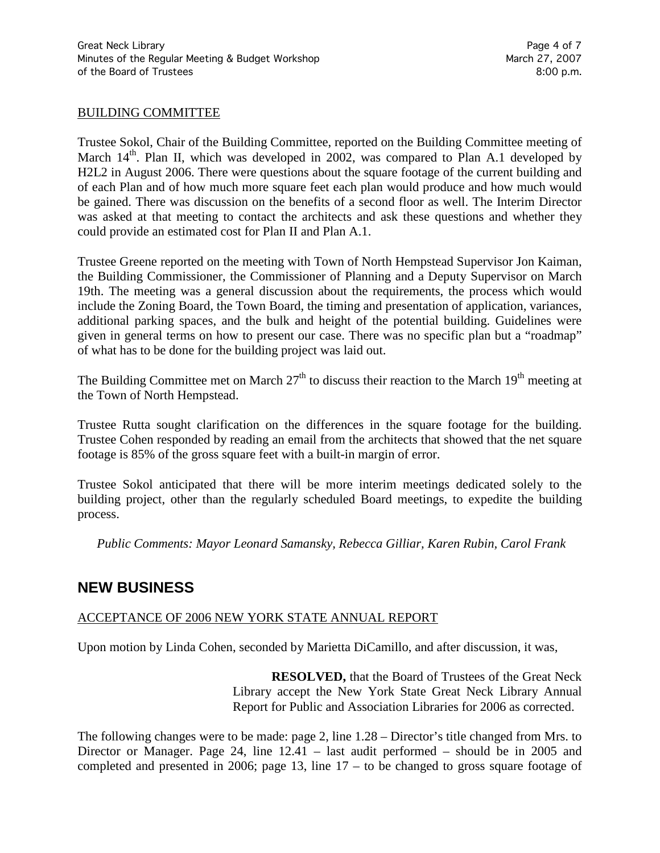#### BUILDING COMMITTEE

Trustee Sokol, Chair of the Building Committee, reported on the Building Committee meeting of March  $14<sup>th</sup>$ . Plan II, which was developed in 2002, was compared to Plan A.1 developed by H2L2 in August 2006. There were questions about the square footage of the current building and of each Plan and of how much more square feet each plan would produce and how much would be gained. There was discussion on the benefits of a second floor as well. The Interim Director was asked at that meeting to contact the architects and ask these questions and whether they could provide an estimated cost for Plan II and Plan A.1.

Trustee Greene reported on the meeting with Town of North Hempstead Supervisor Jon Kaiman, the Building Commissioner, the Commissioner of Planning and a Deputy Supervisor on March 19th. The meeting was a general discussion about the requirements, the process which would include the Zoning Board, the Town Board, the timing and presentation of application, variances, additional parking spaces, and the bulk and height of the potential building. Guidelines were given in general terms on how to present our case. There was no specific plan but a "roadmap" of what has to be done for the building project was laid out.

The Building Committee met on March  $27<sup>th</sup>$  to discuss their reaction to the March  $19<sup>th</sup>$  meeting at the Town of North Hempstead.

Trustee Rutta sought clarification on the differences in the square footage for the building. Trustee Cohen responded by reading an email from the architects that showed that the net square footage is 85% of the gross square feet with a built-in margin of error.

Trustee Sokol anticipated that there will be more interim meetings dedicated solely to the building project, other than the regularly scheduled Board meetings, to expedite the building process.

*Public Comments: Mayor Leonard Samansky, Rebecca Gilliar, Karen Rubin, Carol Frank*

### **NEW BUSINESS**

#### ACCEPTANCE OF 2006 NEW YORK STATE ANNUAL REPORT

Upon motion by Linda Cohen, seconded by Marietta DiCamillo, and after discussion, it was,

**RESOLVED,** that the Board of Trustees of the Great Neck Library accept the New York State Great Neck Library Annual Report for Public and Association Libraries for 2006 as corrected.

The following changes were to be made: page 2, line 1.28 – Director's title changed from Mrs. to Director or Manager. Page 24, line 12.41 – last audit performed – should be in 2005 and completed and presented in 2006; page 13, line  $17 -$  to be changed to gross square footage of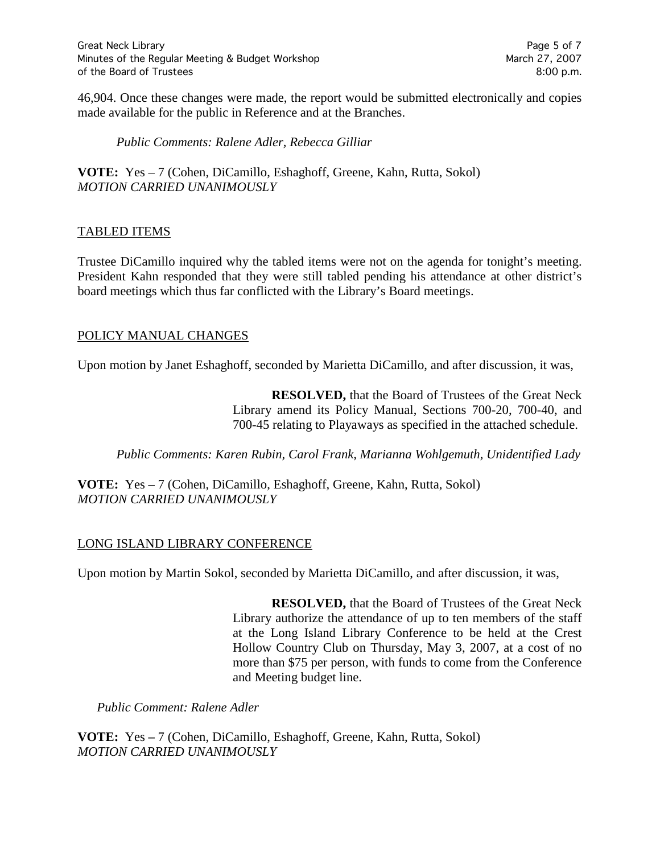46,904. Once these changes were made, the report would be submitted electronically and copies made available for the public in Reference and at the Branches.

*Public Comments: Ralene Adler, Rebecca Gilliar*

**VOTE:** Yes – 7 (Cohen, DiCamillo, Eshaghoff, Greene, Kahn, Rutta, Sokol) *MOTION CARRIED UNANIMOUSLY*

#### TABLED ITEMS

Trustee DiCamillo inquired why the tabled items were not on the agenda for tonight's meeting. President Kahn responded that they were still tabled pending his attendance at other district's board meetings which thus far conflicted with the Library's Board meetings.

#### POLICY MANUAL CHANGES

Upon motion by Janet Eshaghoff, seconded by Marietta DiCamillo, and after discussion, it was,

**RESOLVED,** that the Board of Trustees of the Great Neck Library amend its Policy Manual, Sections 700-20, 700-40, and 700-45 relating to Playaways as specified in the attached schedule.

*Public Comments: Karen Rubin, Carol Frank, Marianna Wohlgemuth, Unidentified Lady*

**VOTE:** Yes – 7 (Cohen, DiCamillo, Eshaghoff, Greene, Kahn, Rutta, Sokol) *MOTION CARRIED UNANIMOUSLY*

#### LONG ISLAND LIBRARY CONFERENCE

Upon motion by Martin Sokol, seconded by Marietta DiCamillo, and after discussion, it was,

**RESOLVED,** that the Board of Trustees of the Great Neck Library authorize the attendance of up to ten members of the staff at the Long Island Library Conference to be held at the Crest Hollow Country Club on Thursday, May 3, 2007, at a cost of no more than \$75 per person, with funds to come from the Conference and Meeting budget line.

*Public Comment: Ralene Adler*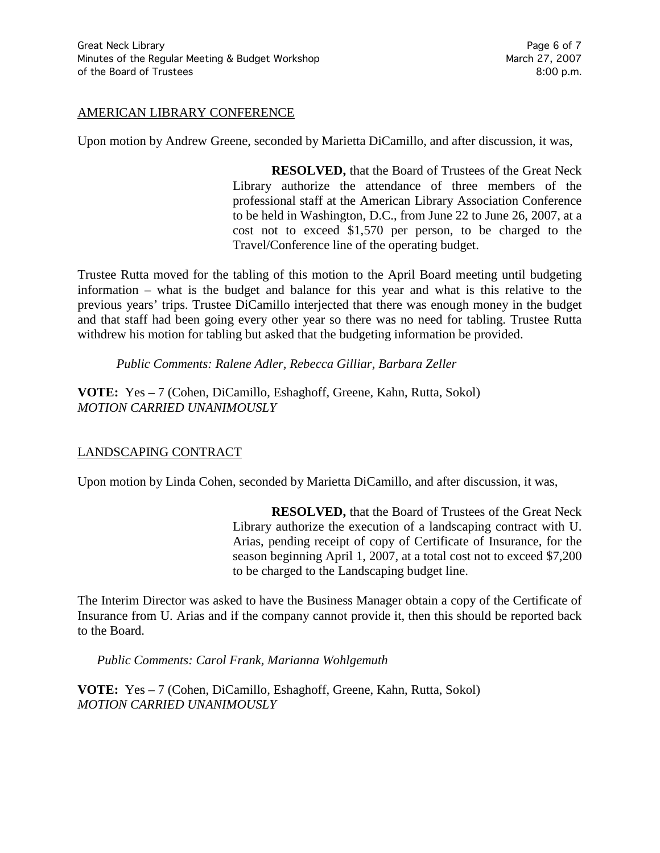#### AMERICAN LIBRARY CONFERENCE

Upon motion by Andrew Greene, seconded by Marietta DiCamillo, and after discussion, it was,

**RESOLVED,** that the Board of Trustees of the Great Neck Library authorize the attendance of three members of the professional staff at the American Library Association Conference to be held in Washington, D.C., from June 22 to June 26, 2007, at a cost not to exceed \$1,570 per person, to be charged to the Travel/Conference line of the operating budget.

Trustee Rutta moved for the tabling of this motion to the April Board meeting until budgeting information – what is the budget and balance for this year and what is this relative to the previous years' trips. Trustee DiCamillo interjected that there was enough money in the budget and that staff had been going every other year so there was no need for tabling. Trustee Rutta withdrew his motion for tabling but asked that the budgeting information be provided.

*Public Comments: Ralene Adler, Rebecca Gilliar, Barbara Zeller*

**VOTE:** Yes **–** 7 (Cohen, DiCamillo, Eshaghoff, Greene, Kahn, Rutta, Sokol) *MOTION CARRIED UNANIMOUSLY*

#### LANDSCAPING CONTRACT

Upon motion by Linda Cohen, seconded by Marietta DiCamillo, and after discussion, it was,

**RESOLVED,** that the Board of Trustees of the Great Neck Library authorize the execution of a landscaping contract with U. Arias, pending receipt of copy of Certificate of Insurance, for the season beginning April 1, 2007, at a total cost not to exceed \$7,200 to be charged to the Landscaping budget line.

The Interim Director was asked to have the Business Manager obtain a copy of the Certificate of Insurance from U. Arias and if the company cannot provide it, then this should be reported back to the Board.

*Public Comments: Carol Frank, Marianna Wohlgemuth*